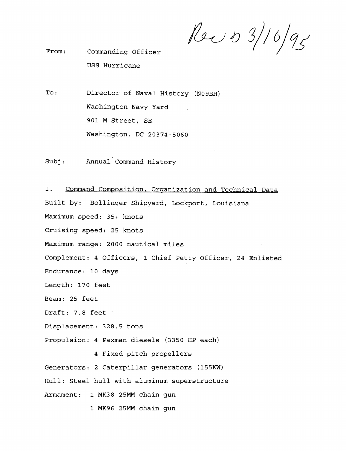Rec & 3/16/95

From : Commanding Officer USS Hurricane

 $\texttt{To:}$ Director of Naval History **(N09BH)**  Washington Navy Yard **901** M Street, SE Washington, DC **20374-5060** 

Subj: Annual Command History

I. Command Composition, Organization and Technical Data Built by: Bollinger Shipyard, Lockport, Louisiana Maximum speed: **35+** knots Cruising speed: **25** knots Maximum range: **2000** nautical miles Complement: **4** Officers, **1** Chief Petty Officer, **24** Enlisted Endurance: **10** days Length: **170** feet Beam: 25 feet Draft: **7.8** feet . Displacement: **328.5** tons F'ropulsion: **4** Paxman diesels **(3350** HP each) **4** Fixed pitch propellers Generators: **2** Caterpillar generators **(155KW)**  Hull: Steel hull with aluminum superstructure Armament: **1 MK38 25MM** chain gun 1 MK96 25MM chain gun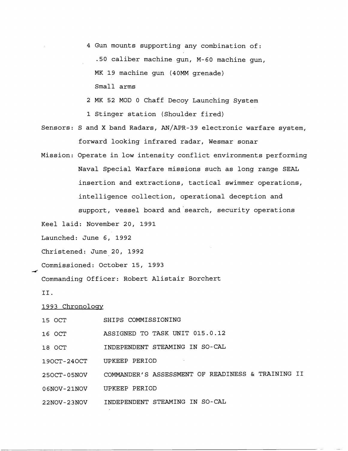4 Gun mounts supporting any combination of: .50 caliber machine gun, M-60 machine gun, MK 19 machine gun (40MM grenade) Small arms

2 MK 52 MOD 0 Chaff Decoy Launching System

1 Stinger station (Shoulder fired)

Sensors: S and X band Radars, AN/APR-39 electronic warfare system, forward looking infrared radar, Wesmar sonar

Mission: Operate in low intensity conflict environments performing Naval Special Warfare missions such as long range SEAL insertion and extractions, tactical swimmer operations, intelligence collection, operational deception and support, vessel board and search, security operations

Keel laid: November 20, 1991

Launched: June 6, 1992

Christened: June 20, 1992

Commissioned: October 15, 1993

Commanding Officer: Robert Alistair Borchert

II.

1993 Chronoloqv

| 15 OCT      | SHIPS COMMISSIONING                               |
|-------------|---------------------------------------------------|
| 16 OCT      | ASSIGNED TO TASK UNIT 015.0.12                    |
| 18 OCT      | INDEPENDENT STEAMING IN SO-CAL                    |
| 190CT-240CT | UPKEEP PERIOD                                     |
| 250CT-05NOV | COMMANDER'S ASSESSMENT OF READINESS & TRAINING II |
| 06NOV-21NOV | UPKEEP PERIOD                                     |
| 22NOV-23NOV | INDEPENDENT STEAMING IN SO-CAL                    |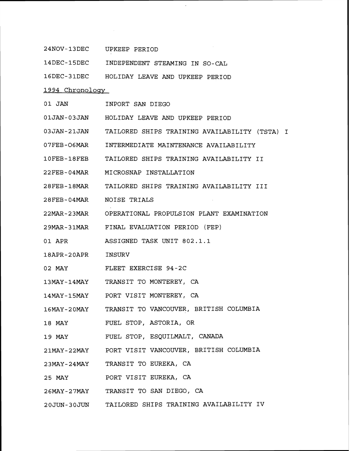| 24NOV-13DEC UPKEEP PERIOD |                                                           |  |  |  |
|---------------------------|-----------------------------------------------------------|--|--|--|
|                           | 14DEC-15DEC INDEPENDENT STEAMING IN SO-CAL                |  |  |  |
|                           | 16DEC-31DEC HOLIDAY LEAVE AND UPKEEP PERIOD               |  |  |  |
| 1994 Chronology           |                                                           |  |  |  |
|                           | 01 JAN INPORT SAN DIEGO                                   |  |  |  |
|                           | 01JAN-03JAN HOLIDAY LEAVE AND UPKEEP PERIOD               |  |  |  |
|                           | 03JAN-21JAN TAILORED SHIPS TRAINING AVAILABILITY (TSTA) I |  |  |  |
|                           | 07FEB-O6MAR INTERMEDIATE MAINTENANCE AVAILABILITY         |  |  |  |
|                           | 10FEB-18FEB TAILORED SHIPS TRAINING AVAILABILITY II       |  |  |  |
|                           | 22FEB-04MAR MICROSNAP INSTALLATION                        |  |  |  |
|                           | 28FEB-18MAR TAILORED SHIPS TRAINING AVAILABILITY III      |  |  |  |
| 28FEB-04MAR NOISE TRIALS  |                                                           |  |  |  |
|                           | 22MAR-23MAR OPERATIONAL PROPULSION PLANT EXAMINATION      |  |  |  |
|                           | 29MAR-31MAR FINAL EVALUATION PERIOD (FEP)                 |  |  |  |
|                           | 01 APR ASSIGNED TASK UNIT 802.1.1                         |  |  |  |
| 18APR-20APR INSURV        |                                                           |  |  |  |
|                           | 02 MAY FLEET EXERCISE 94-2C                               |  |  |  |
|                           | 13MAY-14MAY TRANSIT TO MONTEREY, CA                       |  |  |  |
|                           | 14MAY-15MAY PORT VISIT MONTEREY, CA                       |  |  |  |
|                           | 16MAY-20MAY TRANSIT TO VANCOUVER, BRITISH COLUMBIA        |  |  |  |
| 18 MAY                    | FUEL STOP, ASTORIA, OR                                    |  |  |  |
| 19 MAY                    | FUEL STOP, ESQUILMALT, CANADA                             |  |  |  |
|                           | 21MAY-22MAY PORT VISIT VANCOUVER, BRITISH COLUMBIA        |  |  |  |
|                           | 23MAY-24MAY TRANSIT TO EUREKA, CA                         |  |  |  |
|                           | 25 MAY PORT VISIT EUREKA, CA                              |  |  |  |
|                           | 26MAY-27MAY TRANSIT TO SAN DIEGO, CA                      |  |  |  |
|                           | 20JUN-30JUN TAILORED SHIPS TRAINING AVAILABILITY IV       |  |  |  |

 $\hat{\mathcal{A}}$ 

 $\mathcal{L}^{\text{max}}_{\text{max}}$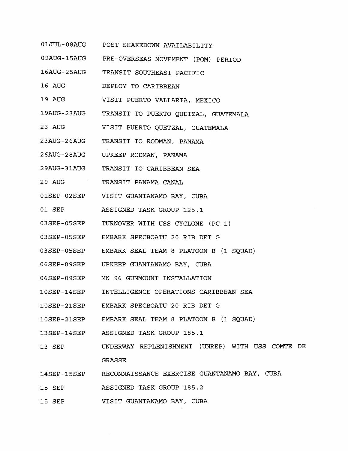| 01JUL-08AUG |  | POST SHAKEDOWN AVAILABILITY |
|-------------|--|-----------------------------|
|             |  |                             |

09AUG-15AUG PRE-OVERSEAS MOVEMENT (POM) PERIOD

16AUG-25AUG TRANSIT SOUTHEAST PACIFIC

- 16 AUG DEPLOY TO CARIBBEAN
- 19 AUG VISIT PUERTO VALLARTA, MEXICO
- 19AUG-23AUG TRANSIT TO PUERTO QUETZAL, GUATEMALA
- 23 AUG VISIT PUERTO QUETZAL, GUATEMALA
- 23AUG-26AUG TRANSIT TO RODMAN, PANAMA
- 26AUG-28AUG UPKEEP RODMAN, PANAMA
- 29AUG-31AUG TRANSIT TO CARIBBEAN SEA
- 29 AUG TRANSIT PANAMA CANAL
- 01SEP-02SEP VISIT GUANTANAMO BAY, CUBA
- 01 SEP ASSIGNED TASK GROUP 125.1
- 03SEP-05SEP TURNOVER WITH USS CYCLONE (PC-1)
- 03SEP-05SEP EMBARK SPECBOATU 20 RIB DET G
- 03SEP-05SEP EMBARK SEAL TEAM 8 PLATOON B (1 SQUAD)
- 06SEP-09SEP UPKEEP GUANTANAMO BAY, CUBA
- O6SEP-09SEP MK 96 GUNMOUNT INSTALLATION
- 10SEP-14SEP INTELLIGENCE OPERATIONS CARIBBEAN SEA
- 10SEP-21SEP EMBARK SPECBOATU 20 RIB DET G
- 10SEP-21SEP EMBARK SEAL TEAM 8 PLATOON B (1 SQUAD)
- 13SEP-14SEP ASSIGNED TASK GROUP 185.1
- 13 SEP UNDERWAY REPLENISHMENT (UNREP) WITH USS COMTE DE GRASSE
- 14SEP-15SEP RECONNAISSANCE EXERCISE GUANTANAMO BAY, CUBA
- 15 SEP ASSIGNED TASK GROUP 185.2
- 15 SEP VISIT GUANTANAMO BAY, CUBA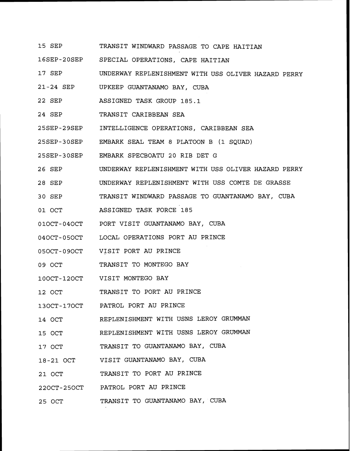- 1-5 SEP TRANSIT WINDWARD PASSAGE TO CAPE HAITIAN
- 16SEP-20SEP SPECIAL OPERATIONS, CAPE HAITIAN
- 17 SEP UNDERWAY REPLENISHMENT WITH USS OLIVER HAZARD PERRY
- 21-24 SEP UPKEEP GUANTANAMO BAY, CUBA
- 22 SEP ASSIGNED TASK GROUP 185.1
- 24 SEP TRANSIT CARIBBEAN SEA
- 25SEP-29SEP INTELLIGENCE OPERATIONS, CARIBBEAN SEA
- 25SEP-30SEP EMBARK SEAL TEAM 8 PLATOON B (1 SQUAD)
- 25SEP-30SEP EMBARK SPECBOATU 20 RIB DET G
- 26 SEP UNDERWAY REPLENISHMENT WITH USS OLIVER HAZARD PERRY
- 28 SEP UNDERWAY REPLENISHMENT WITH USS COMTE DE GRASSE
- 30 SEP TRANSIT WINDWARD PASSAGE TO GUANTANAMO BAY, CUBA
- 01 OCT ASSIGNED TASK FORCE 185
- 010CT-040CT PORT VISIT GUANTANAMO BAY, CUBA
- 040CT-050CT LOCAL OPERATIONS PORT AU PRINCE
- 05OCT-09OCT VISIT PORT AU PRINCE
- 09 OCT TRANSIT TO MONTEGO BAY
- 10OCT-12OCT VISIT MONTEGO BAY
- 12 OlCT TRANSIT TO PORT AU PRINCE
- 130CT-170CT PATROL PORT AU PRINCE
- 14 OCT REPLENISHMENT WITH USNS LEROY GRUMMAN
- 15 OCT REPLENISHMENT WITH USNS LEROY GRUMMAN
- 17 OCT TRANSIT TO GUANTANAMO BAY, CUBA
- 18-21 OCT VISIT GUANTANAMO BAY, CUBA
- 21 OCT TRANSIT TO PORT AU PRINCE
- 220CT-250CT PATROL PORT AU PRINCE
- 25 OCT TRANSIT TO GUANTANAMO BAY, CUBA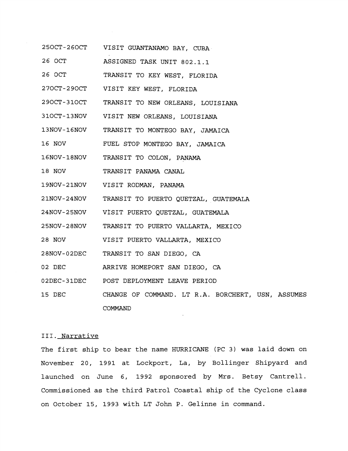- 250CT-260CT VISIT GUANTANAMO BAY, CUBA
- 26 OCT ASSIGNED TASK UNIT 802.1.1
- 26 OCT TRANSIT TO KEY WEST, FLORIDA
- 270CT-290CT VISIT KEY WEST, FLORIDA
- 290CT-310CT TRANSIT TO NEW ORLEANS, LOUISIANA
- 310CT-13NOV VISIT NEW ORLEANS, LOUISIANA
- 13NOV-16NOV TRANSIT TO MONTEGO BAY, JAMAICA
- 16 NOV FUEL STOP MONTEGO BAY, JAMAICA
- 16NOV-18NOV TRANSIT TO COLON, PANAMA
- 18 NOV TRANSIT PANAMA CANAL
- $19$ NOV-21NOV VISIT RODMAN, PANAMA
- 2 1NOV-24NOV TRANSIT TO PUERTO QUETZAL, GUATEMALA
- 24NOV-25NOV VISIT PUERTO QUETZAL, GUATEMALA
- 25NOV-28NOV TRANSIT TO PUERTO VALLARTA, MEXICO
- 28 NOV VISIT PUERTO VALLARTA, MEXICO
- 28KIOV- O2DEC TRANSIT TO SAN DIEGO, CA
- 02 DEC ARRIVE HOMEPORT SAN DIEGO, CA
- 02DEC-31DEC POST DEPLOYMENT LEAVE PERIOD
- 15 DEC CHANGE OF COMMAND. LT R.A. BORCHERT, USN, ASSUMES COMMAND

## 111. Narrative

The first ship to bear the name HURRICANE (PC 3) was laid down on November 20, 1991 at Lockport, La, by Bollinger Shipyard and launched on June 6, 1992 sponsored by Mrs. Betsy Cantrell. Commissioned as the third Patrol Coastal ship of the Cyclone class on October 15, 1993 with LT John P. Gelinne in command.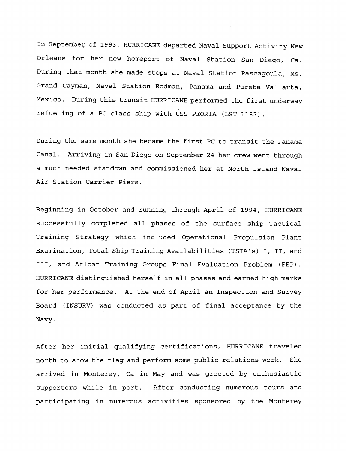In September of 1993, HURRICANE departed Naval Support Activity New Orleans for her new homeport of Naval Station San Diego, Ca. During that month she made stops at Naval Station Pascagoula, Ms, Grand Cayman, Naval Station Rodman, Panama and Pureta Vallarta, Mexico. During this transit HURRICANE performed the first underway refueling of a PC class ship with uss PEORIA (LST 1183).

During the same month she became the first PC to transit the Panama Canal. Arriving in San Diego on September 24 her crew went through a much needed standown and commissioned her at North Island Naval Air Station Carrier Piers.

Beginning in October and running through April of 1994, HURRICANE successfully completed all phases of the surface ship Tactical Training Strategy which included Operational Propulsion Plant Examination, Total Ship Training Availabilities (TSTA's) I, II, and III, and Afloat Training Groups Final Evaluation Problem (FEP). HURFLICANE distinguished herself in all phases and earned high marks for her performance. At the end of April an Inspection and Survey Board (INSURV) was conducted as part of final acceptance by the Navy.

After her initial qualifying certifications, HURRICANE traveled north to show the flag and perform some public relations work. She arrived in Monterey, Ca in May and was greeted by enthusiastic supporters while in port. After conducting numerous tours and participating in numerous activities sponsored by the Monterey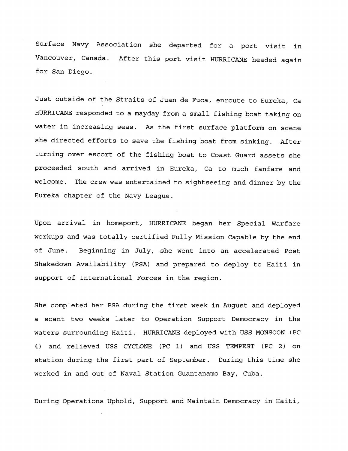Surface Navy Association she departed for a port visit in Vancouver, Canada. After this port visit HURRICANE headed again for San Diego.

Just outside of the Straits of Juan de Fuca, enroute to Eureka, Ca HURR.ICANE responded to a mayday from a small fishing boat taking on water in increasing seas. As the first surface platform on scene she directed efforts to save the fishing boat from sinking. After turning over escort of the fishing boat to Coast Guard assets she proceeded south and arrived in Eureka, Ca to much fanfare and welcome. The crew was entertained to sightseeing and dinner by the Eureka chapter of the Navy League.

Upon arrival in homeport, HURRICANE began her Special Warfare workups and was totally certified Fully Mission Capable by the end of June. Beginning in July, she went into an accelerated Post Shakedown Availability (PSA) and prepared to deploy to Haiti in support of International Forces in the region.

She completed her PSA during the first week in August and deployed a scant two weeks later to Operation Support Democracy in the waters surrounding Haiti. HURRICANE deployed with USS MONSOON (PC 4) and relieved USS CYCLONE (PC 1) and USS TEMPEST (PC 2) on station during the first part of September. During this time she worked in and out of Naval Station Guantanamo Bay, Cuba.

During Operations Uphold, Support and Maintain Democracy in Haiti,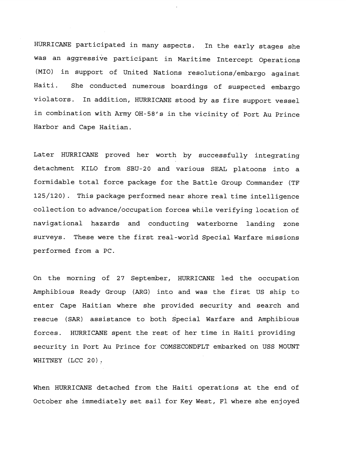HURRICANE participated in many aspects. In the early stages she was an aggressive participant in Maritime Intercept Operations (MIO) in support of United Nations resolutions/embargo against Haiti. She conducted numerous boardings of suspected embargo violators. In addition, HURRICANE stood by as fire support vessel in combination with Army OH-58's in the vicinity of Port Au Prince Harbor and Cape Haitian.

Later HURRICANE proved her worth by successfully integrating detachment KILO from SBU-20 and various SEAL platoons into a formidable total force package for the Battle Group Commander (TF 125/120) . This package performed near shore real time intelligence collection to advance/occupation forces while verifying location of navigational hazards and conducting waterborne landing zone surveys. These were the first real-world Special Warfare missions performed from a PC.

On the morning of 27 September, HURRICANE led the occupation Amphibious Ready Group (ARG) into and was the first US ship to enter Cape Haitian where she provided security and search and rescue (SAR) assistance to both Special Warfare and Amphibious forces. HURRICANE spent the rest of her time in Haiti providing security in Port Au Prince for COMSECONDFLT embarked on USS MOUNT WHITNEY (LCC 20).

When HURRICANE detached from the Haiti operations at the end of October she immediately set sail for Key West, Fl where she enjoyed